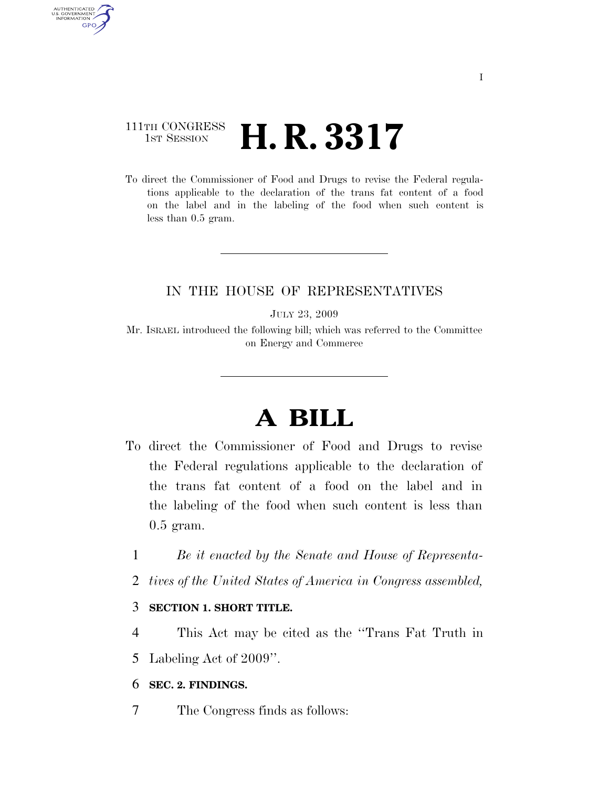### 111TH CONGRESS <sup>TH CONGRESS</sup> **H. R. 3317**

AUTHENTICATED U.S. GOVERNMENT **GPO** 

> To direct the Commissioner of Food and Drugs to revise the Federal regulations applicable to the declaration of the trans fat content of a food on the label and in the labeling of the food when such content is less than 0.5 gram.

#### IN THE HOUSE OF REPRESENTATIVES

JULY 23, 2009

Mr. ISRAEL introduced the following bill; which was referred to the Committee on Energy and Commerce

# **A BILL**

- To direct the Commissioner of Food and Drugs to revise the Federal regulations applicable to the declaration of the trans fat content of a food on the label and in the labeling of the food when such content is less than 0.5 gram.
	- 1 *Be it enacted by the Senate and House of Representa-*
	- 2 *tives of the United States of America in Congress assembled,*

#### 3 **SECTION 1. SHORT TITLE.**

4 This Act may be cited as the ''Trans Fat Truth in 5 Labeling Act of 2009''.

#### 6 **SEC. 2. FINDINGS.**

7 The Congress finds as follows: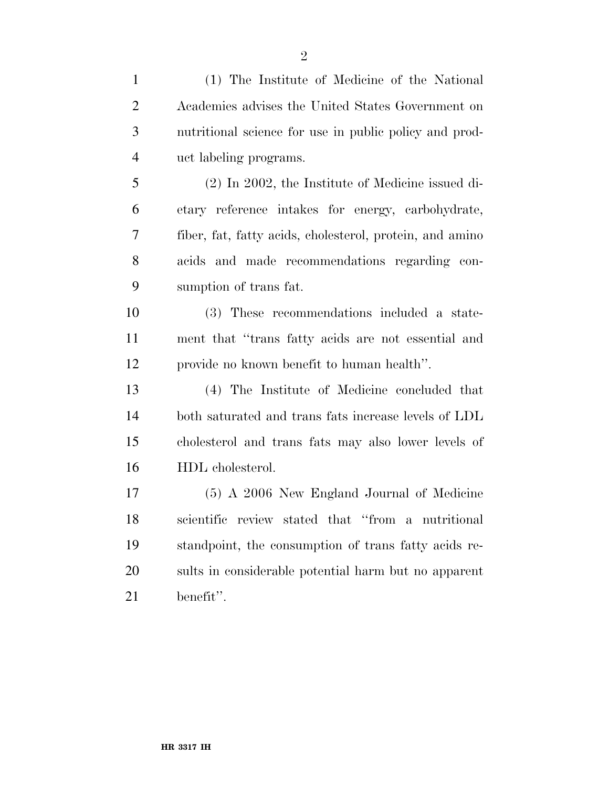| $\mathbf{1}$   | (1) The Institute of Medicine of the National            |
|----------------|----------------------------------------------------------|
| $\overline{2}$ | Academies advises the United States Government on        |
| 3              | nutritional science for use in public policy and prod-   |
| $\overline{4}$ | uct labeling programs.                                   |
| 5              | $(2)$ In 2002, the Institute of Medicine issued di-      |
| 6              | etary reference intakes for energy, carbohydrate,        |
| $\overline{7}$ | fiber, fat, fatty acids, cholesterol, protein, and amino |
| 8              | acids and made recommendations regarding con-            |
| 9              | sumption of trans fat.                                   |
| 10             | (3) These recommendations included a state-              |
| 11             | ment that "trans fatty acids are not essential and       |
| 12             | provide no known benefit to human health".               |
| 13             | (4) The Institute of Medicine concluded that             |
| 14             | both saturated and trans fats increase levels of LDL     |
| 15             | cholesterol and trans fats may also lower levels of      |
| 16             | HDL cholesterol.                                         |
| 17             | (5) A 2006 New England Journal of Medicine               |
| 18             | scientific review stated that "from a nutritional        |
|                |                                                          |

 standpoint, the consumption of trans fatty acids re- sults in considerable potential harm but no apparent benefit''.